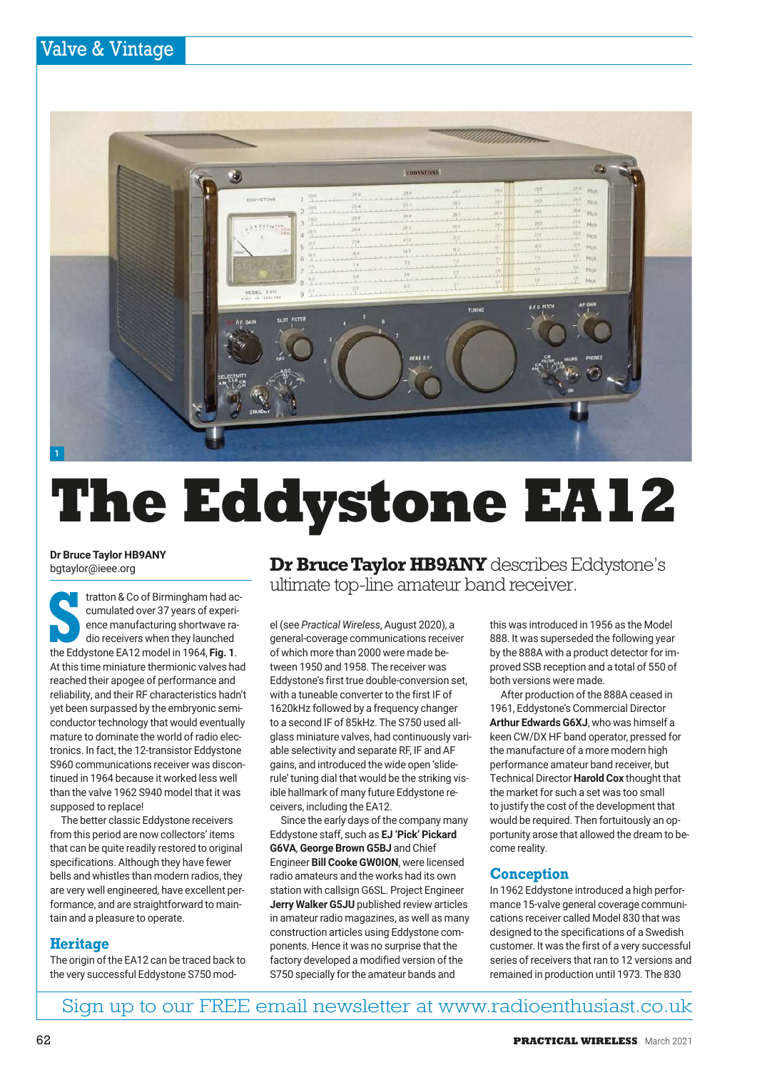

# **The Eddystone EA12**

**Dr Bruce Taylor HB9ANY** bgtaylor@ieee.org

Tratton & Co Or Birmingham had accomplement of the Eddystone EA12 model in 1964, **Fig. 1**. tratton & Co of Birmingham had accumulated over 37 years of experience manufacturing shortwave radio receivers when they launched At this time miniature thermionic valves had reached their apogee of performance and reliability, and their RF characteristics hadn't yet been surpassed by the embryonic semiconductor technology that would eventually mature to dominate the world of radio electronics. In fact, the 12-transistor Eddystone S960 communications receiver was discontinued in 1964 because it worked less well than the valve 1962 S940 model that it was supposed to replace!

The better classic Eddystone receivers from this period are now collectors' items that can be quite readily restored to original specifications. Although they have fewer bells and whistles than modern radios, they are very well engineered, have excellent performance, and are straightforward to maintain and a pleasure to operate.

## **Heritage**

The origin of the EA12 can be traced back to the very successful Eddystone S750 mod**Dr Bruce Taylor HB9ANY** describes Eddystone's ultimate top-line amateur band receiver.

el (see *Practical Wireless*, August 2020), a general-coverage communications receiver of which more than 2000 were made between 1950 and 1958. The receiver was Eddystone's first true double-conversion set, with a tuneable converter to the first IF of 1620kHz followed by a frequency changer to a second IF of 85kHz. The S750 used allglass miniature valves, had continuously variable selectivity and separate RF, IF and AF gains, and introduced the wide open 'sliderule' tuning dial that would be the striking visible hallmark of many future Eddystone receivers, including the EA12.

Since the early days of the company many Eddystone staff, such as **EJ 'Pick' Pickard G6VA**, **George Brown G5BJ** and Chief Engineer **Bill Cooke GW0ION**, were licensed radio amateurs and the works had its own station with callsign G6SL. Project Engineer **Jerry Walker G5JU** published review articles in amateur radio magazines, as well as many construction articles using Eddystone components. Hence it was no surprise that the factory developed a modified version of the S750 specially for the amateur bands and

this was introduced in 1956 as the Model 888. It was superseded the following year by the 888A with a product detector for improved SSB reception and a total of 550 of both versions were made.

After production of the 888A ceased in 1961, Eddystone's Commercial Director **Arthur Edwards G6XJ**, who was himself a keen CW/DX HF band operator, pressed for the manufacture of a more modern high performance amateur band receiver, but Technical Director **Harold Cox** thought that the market for such a set was too small to justify the cost of the development that would be required. Then fortuitously an opportunity arose that allowed the dream to become reality.

## **Conception**

In 1962 Eddystone introduced a high performance 15-valve general coverage communications receiver called Model 830 that was designed to the specifications of a Swedish customer. It was the first of a very successful series of receivers that ran to 12 versions and remained in production until 1973. The 830

Sign up to our FREE email newsletter at www.radioenthusiast.co.uk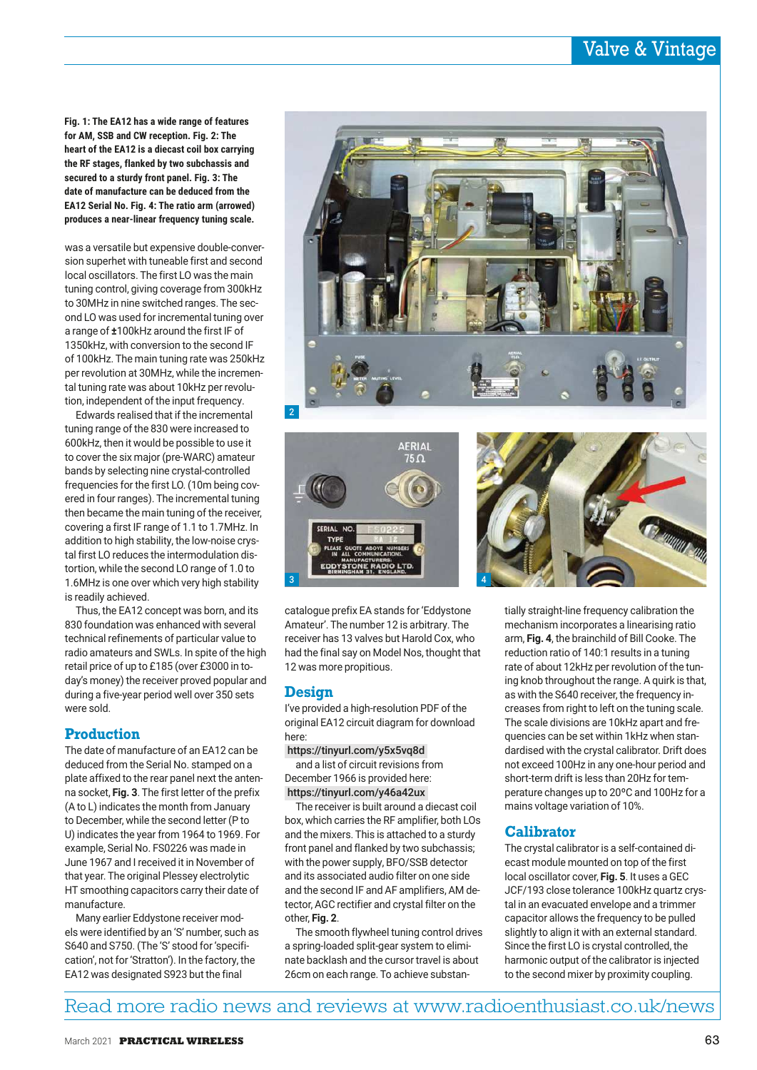**Fig. 1: The EA12 has a wide range of features for AM, SSB and CW reception. Fig. 2: The heart of the EA12 is a diecast coil box carrying the RF stages, flanked by two subchassis and secured to a sturdy front panel. Fig. 3: The date of manufacture can be deduced from the EA12 Serial No. Fig. 4: The ratio arm (arrowed) produces a near-linear frequency tuning scale.**

was a versatile but expensive double-conversion superhet with tuneable first and second local oscillators. The first LO was the main tuning control, giving coverage from 300kHz to 30MHz in nine switched ranges. The second LO was used for incremental tuning over a range of **±**100kHz around the first IF of 1350kHz, with conversion to the second IF of 100kHz. The main tuning rate was 250kHz per revolution at 30MHz, while the incremental tuning rate was about 10kHz per revolution, independent of the input frequency.

Edwards realised that if the incremental tuning range of the 830 were increased to 600kHz, then it would be possible to use it to cover the six major (pre-WARC) amateur bands by selecting nine crystal-controlled frequencies for the first LO. (10m being covered in four ranges). The incremental tuning then became the main tuning of the receiver, covering a first IF range of 1.1 to 1.7MHz. In addition to high stability, the low-noise crystal first LO reduces the intermodulation distortion, while the second LO range of 1.0 to 1.6MHz is one over which very high stability is readily achieved.

Thus, the EA12 concept was born, and its 830 foundation was enhanced with several technical refinements of particular value to radio amateurs and SWLs. In spite of the high retail price of up to £185 (over £3000 in today's money) the receiver proved popular and during a five-year period well over 350 sets were sold.

#### **Production**

The date of manufacture of an EA12 can be deduced from the Serial No. stamped on a plate affixed to the rear panel next the antenna socket, **Fig. 3**. The first letter of the prefix (A to L) indicates the month from January to December, while the second letter (P to U) indicates the year from 1964 to 1969. For example, Serial No. FS0226 was made in June 1967 and I received it in November of that year. The original Plessey electrolytic HT smoothing capacitors carry their date of manufacture.

Many earlier Eddystone receiver models were identified by an 'S' number, such as S640 and S750. (The 'S' stood for 'specification', not for 'Stratton'). In the factory, the EA12 was designated S923 but the final







catalogue prefix EA stands for 'Eddystone Amateur'. The number 12 is arbitrary. The receiver has 13 valves but Harold Cox, who had the final say on Model Nos, thought that 12 was more propitious.

#### **Design**

I've provided a high-resolution PDF of the original EA12 circuit diagram for download here:

https://tinyurl.com/y5x5vq8d

and a list of circuit revisions from December 1966 is provided here: https://tinyurl.com/y46a42ux

The receiver is built around a diecast coil box, which carries the RF amplifier, both LOs and the mixers. This is attached to a sturdy front panel and flanked by two subchassis; with the power supply, BFO/SSB detector and its associated audio filter on one side and the second IF and AF amplifiers, AM detector, AGC rectifier and crystal filter on the other, **Fig. 2**.

The smooth flywheel tuning control drives a spring-loaded split-gear system to eliminate backlash and the cursor travel is about 26cm on each range. To achieve substantially straight-line frequency calibration the mechanism incorporates a linearising ratio arm, **Fig. 4**, the brainchild of Bill Cooke. The reduction ratio of 140:1 results in a tuning rate of about 12kHz per revolution of the tuning knob throughout the range. A quirk is that, as with the S640 receiver, the frequency increases from right to left on the tuning scale. The scale divisions are 10kHz apart and frequencies can be set within 1kHz when standardised with the crystal calibrator. Drift does not exceed 100Hz in any one-hour period and short-term drift is less than 20Hz for temperature changes up to 20ºC and 100Hz for a mains voltage variation of 10%.

## **Calibrator**

The crystal calibrator is a self-contained diecast module mounted on top of the first local oscillator cover, **Fig. 5**. It uses a GEC JCF/193 close tolerance 100kHz quartz crystal in an evacuated envelope and a trimmer capacitor allows the frequency to be pulled slightly to align it with an external standard. Since the first LO is crystal controlled, the harmonic output of the calibrator is injected to the second mixer by proximity coupling.

## Read more radio news and reviews at www.radioenthusiast.co.uk/news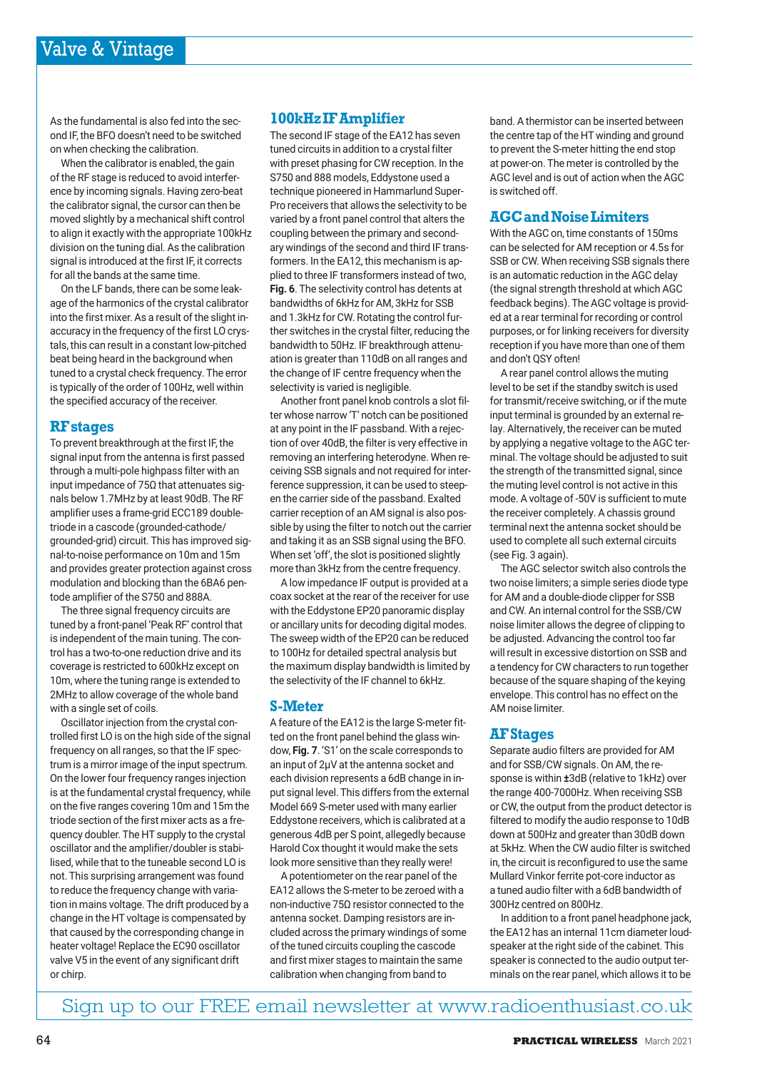As the fundamental is also fed into the second IF, the BFO doesn't need to be switched on when checking the calibration.

When the calibrator is enabled, the gain of the RF stage is reduced to avoid interference by incoming signals. Having zero-beat the calibrator signal, the cursor can then be moved slightly by a mechanical shift control to align it exactly with the appropriate 100kHz division on the tuning dial. As the calibration signal is introduced at the first IF, it corrects for all the bands at the same time.

On the LF bands, there can be some leakage of the harmonics of the crystal calibrator into the first mixer. As a result of the slight inaccuracy in the frequency of the first LO crystals, this can result in a constant low-pitched beat being heard in the background when tuned to a crystal check frequency. The error is typically of the order of 100Hz, well within the specified accuracy of the receiver.

## **RF stages**

To prevent breakthrough at the first IF, the signal input from the antenna is first passed through a multi-pole highpass filter with an input impedance of 75Ω that attenuates signals below 1.7MHz by at least 90dB. The RF amplifier uses a frame-grid ECC189 doubletriode in a cascode (grounded-cathode/ grounded-grid) circuit. This has improved signal-to-noise performance on 10m and 15m and provides greater protection against cross modulation and blocking than the 6BA6 pentode amplifier of the S750 and 888A.

The three signal frequency circuits are tuned by a front-panel 'Peak RF' control that is independent of the main tuning. The control has a two-to-one reduction drive and its coverage is restricted to 600kHz except on 10m, where the tuning range is extended to 2MHz to allow coverage of the whole band with a single set of coils.

Oscillator injection from the crystal controlled first LO is on the high side of the signal frequency on all ranges, so that the IF spectrum is a mirror image of the input spectrum. On the lower four frequency ranges injection is at the fundamental crystal frequency, while on the five ranges covering 10m and 15m the triode section of the first mixer acts as a frequency doubler. The HT supply to the crystal oscillator and the amplifier/doubler is stabilised, while that to the tuneable second LO is not. This surprising arrangement was found to reduce the frequency change with variation in mains voltage. The drift produced by a change in the HT voltage is compensated by that caused by the corresponding change in heater voltage! Replace the EC90 oscillator valve V5 in the event of any significant drift or chirp.

## **100kHz IF Amplifier**

The second IF stage of the EA12 has seven tuned circuits in addition to a crystal filter with preset phasing for CW reception. In the S750 and 888 models, Eddystone used a technique pioneered in Hammarlund Super-Pro receivers that allows the selectivity to be varied by a front panel control that alters the coupling between the primary and secondary windings of the second and third IF transformers. In the EA12, this mechanism is applied to three IF transformers instead of two, **Fig. 6**. The selectivity control has detents at bandwidths of 6kHz for AM, 3kHz for SSB and 1.3kHz for CW. Rotating the control further switches in the crystal filter, reducing the bandwidth to 50Hz. IF breakthrough attenuation is greater than 110dB on all ranges and the change of IF centre frequency when the selectivity is varied is negligible.

Another front panel knob controls a slot filter whose narrow 'T' notch can be positioned at any point in the IF passband. With a rejection of over 40dB, the filter is very effective in removing an interfering heterodyne. When receiving SSB signals and not required for interference suppression, it can be used to steepen the carrier side of the passband. Exalted carrier reception of an AM signal is also possible by using the filter to notch out the carrier and taking it as an SSB signal using the BFO. When set 'off', the slot is positioned slightly more than 3kHz from the centre frequency.

A low impedance IF output is provided at a coax socket at the rear of the receiver for use with the Eddystone EP20 panoramic display or ancillary units for decoding digital modes. The sweep width of the EP20 can be reduced to 100Hz for detailed spectral analysis but the maximum display bandwidth is limited by the selectivity of the IF channel to 6kHz.

#### **S-Meter**

A feature of the EA12 is the large S-meter fitted on the front panel behind the glass window, **Fig. 7**. 'S1' on the scale corresponds to an input of 2µV at the antenna socket and each division represents a 6dB change in input signal level. This differs from the external Model 669 S-meter used with many earlier Eddystone receivers, which is calibrated at a generous 4dB per S point, allegedly because Harold Cox thought it would make the sets look more sensitive than they really were!

A potentiometer on the rear panel of the EA12 allows the S-meter to be zeroed with a non-inductive 75Ω resistor connected to the antenna socket. Damping resistors are included across the primary windings of some of the tuned circuits coupling the cascode and first mixer stages to maintain the same calibration when changing from band to

band. A thermistor can be inserted between the centre tap of the HT winding and ground to prevent the S-meter hitting the end stop at power-on. The meter is controlled by the AGC level and is out of action when the AGC is switched off.

## **AGC and Noise Limiters**

With the AGC on, time constants of 150ms can be selected for AM reception or 4.5s for SSB or CW. When receiving SSB signals there is an automatic reduction in the AGC delay (the signal strength threshold at which AGC feedback begins). The AGC voltage is provided at a rear terminal for recording or control purposes, or for linking receivers for diversity reception if you have more than one of them and don't QSY often!

A rear panel control allows the muting level to be set if the standby switch is used for transmit/receive switching, or if the mute input terminal is grounded by an external relay. Alternatively, the receiver can be muted by applying a negative voltage to the AGC terminal. The voltage should be adjusted to suit the strength of the transmitted signal, since the muting level control is not active in this mode. A voltage of -50V is sufficient to mute the receiver completely. A chassis ground terminal next the antenna socket should be used to complete all such external circuits (see Fig. 3 again).

The AGC selector switch also controls the two noise limiters; a simple series diode type for AM and a double-diode clipper for SSB and CW. An internal control for the SSB/CW noise limiter allows the degree of clipping to be adjusted. Advancing the control too far will result in excessive distortion on SSB and a tendency for CW characters to run together because of the square shaping of the keying envelope. This control has no effect on the AM noise limiter.

## **AF Stages**

Separate audio filters are provided for AM and for SSB/CW signals. On AM, the response is within **±**3dB (relative to 1kHz) over the range 400-7000Hz. When receiving SSB or CW, the output from the product detector is filtered to modify the audio response to 10dB down at 500Hz and greater than 30dB down at 5kHz. When the CW audio filter is switched in, the circuit is reconfigured to use the same Mullard Vinkor ferrite pot-core inductor as a tuned audio filter with a 6dB bandwidth of 300Hz centred on 800Hz.

In addition to a front panel headphone jack, the EA12 has an internal 11cm diameter loudspeaker at the right side of the cabinet. This speaker is connected to the audio output terminals on the rear panel, which allows it to be

Sign up to our FREE email newsletter at www.radioenthusiast.co.uk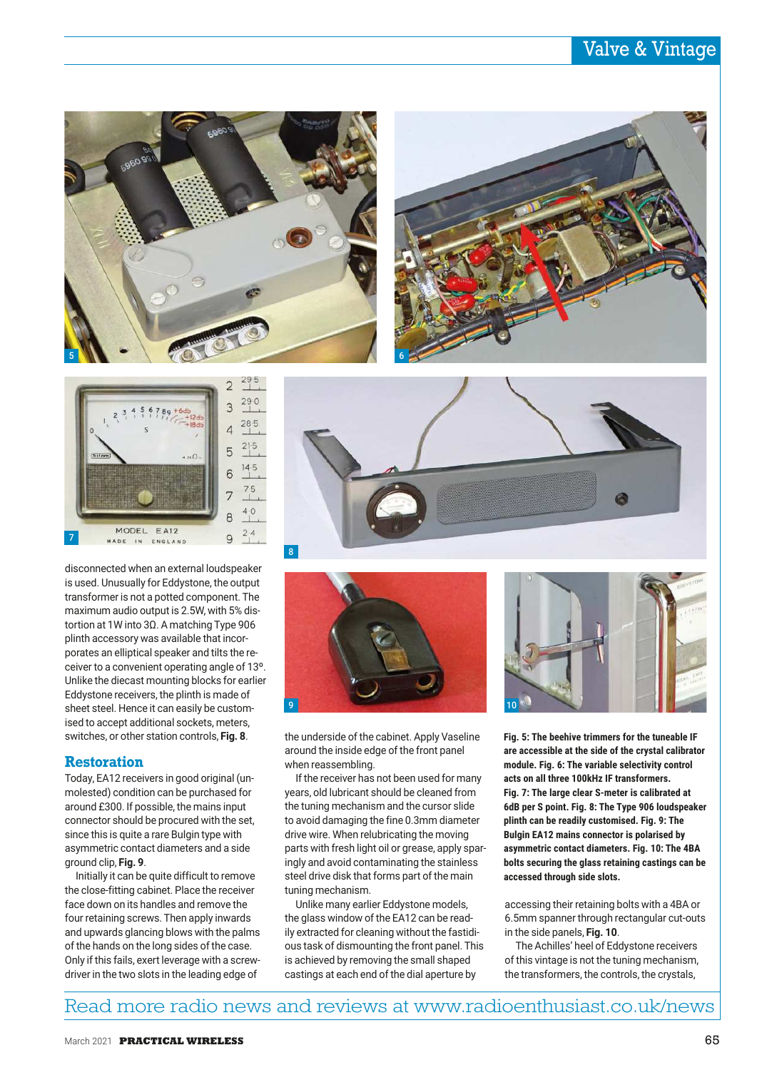





disconnected when an external loudspeaker is used. Unusually for Eddystone, the output transformer is not a potted component. The maximum audio output is 2.5W, with 5% distortion at 1W into 3Ω. A matching Type 906 plinth accessory was available that incorporates an elliptical speaker and tilts the receiver to a convenient operating angle of 13º. Unlike the diecast mounting blocks for earlier Eddystone receivers, the plinth is made of sheet steel. Hence it can easily be customised to accept additional sockets, meters, switches, or other station controls, **Fig. 8**.

#### **Restoration**

Today, EA12 receivers in good original (unmolested) condition can be purchased for around £300. If possible, the mains input connector should be procured with the set, since this is quite a rare Bulgin type with asymmetric contact diameters and a side ground clip, **Fig. 9**.

Initially it can be quite difficult to remove the close-fitting cabinet. Place the receiver face down on its handles and remove the four retaining screws. Then apply inwards and upwards glancing blows with the palms of the hands on the long sides of the case. Only if this fails, exert leverage with a screwdriver in the two slots in the leading edge of



the underside of the cabinet. Apply Vaseline around the inside edge of the front panel when reassembling.

If the receiver has not been used for many years, old lubricant should be cleaned from the tuning mechanism and the cursor slide to avoid damaging the fine 0.3mm diameter drive wire. When relubricating the moving parts with fresh light oil or grease, apply sparingly and avoid contaminating the stainless steel drive disk that forms part of the main tuning mechanism.

Unlike many earlier Eddystone models, the glass window of the EA12 can be readily extracted for cleaning without the fastidious task of dismounting the front panel. This is achieved by removing the small shaped castings at each end of the dial aperture by



**Fig. 5: The beehive trimmers for the tuneable IF are accessible at the side of the crystal calibrator module. Fig. 6: The variable selectivity control acts on all three 100kHz IF transformers. Fig. 7: The large clear S-meter is calibrated at 6dB per S point. Fig. 8: The Type 906 loudspeaker plinth can be readily customised. Fig. 9: The Bulgin EA12 mains connector is polarised by asymmetric contact diameters. Fig. 10: The 4BA bolts securing the glass retaining castings can be accessed through side slots.**

accessing their retaining bolts with a 4BA or 6.5mm spanner through rectangular cut-outs in the side panels, **Fig. 10**.

The Achilles' heel of Eddystone receivers of this vintage is not the tuning mechanism, the transformers, the controls, the crystals,

# Read more radio news and reviews at www.radioenthusiast.co.uk/news